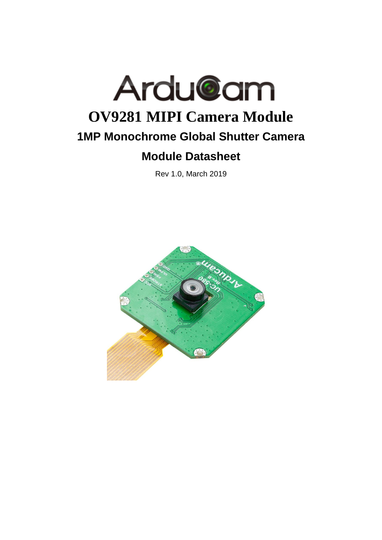

Rev 1.0, March 2019

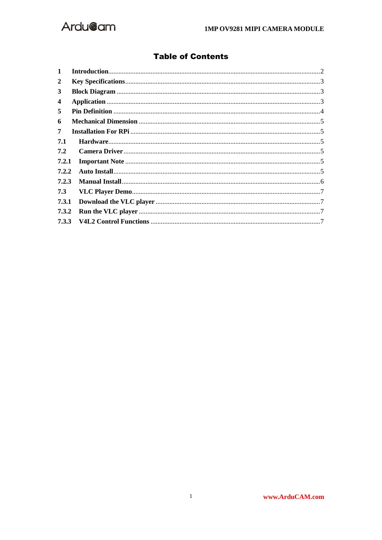

## **Table of Contents**

| $\mathbf 1$ |  |
|-------------|--|
| 2           |  |
| 3           |  |
| 4           |  |
| 5           |  |
| 6           |  |
| 7           |  |
| 7.1         |  |
| 7.2         |  |
| 7.2.1       |  |
| 7.2.2       |  |
| 7.2.3       |  |
| 7.3         |  |
| 7.3.1       |  |
| 7.3.2       |  |
|             |  |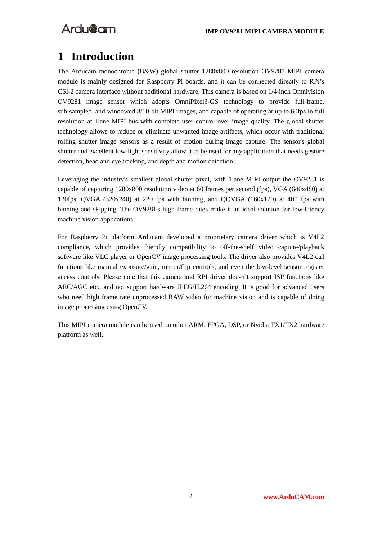## <span id="page-2-0"></span>**1 Introduction**

The Arducam monochrome (B&W) global shutter 1280x800 resolution OV9281 MIPI camera module is mainly designed for Raspberry Pi boards, and it can be connected directly to RPi's CSI-2 camera interface without additional hardware. This camera is based on 1/4-inch Omnivision OV9281 image sensor which adopts OmniPixel3-GS technology to provide full-frame, sub-sampled, and windowed 8/10-bit MIPI images, and capable of operating at up to 60fps in full resolution at 1lane MIPI bus with complete user control over image quality. The global shutter technology allows to reduce or eliminate unwanted image artifacts, which occur with traditional rolling shutter image sensors as a result of motion during image capture. The sensor's global shutter and excellent low-light sensitivity allow it to be used for any application that needs gesture detection, head and eye tracking, and depth and motion detection.

Leveraging the industry's smallest global shutter pixel, with 1lane MIPI output the OV9281 is capable of capturing 1280x800 resolution video at 60 frames per second (fps), VGA (640x480) at 120fps, QVGA  $(320x240)$  at 220 fps with binning, and QQVGA  $(160x120)$  at 400 fps with binning and skipping. The OV9281's high frame rates make it an ideal solution for low-latency machine vision applications.

For Raspberry Pi platform Arducam developed a proprietary camera driver which is V4L2 compliance, which provides friendly compatibility to off-the-shelf video capture/playback software like VLC player or OpenCV image processing tools. The driver also provides V4L2-ctrl functions like manual exposure/gain, mirror/flip controls, and even the low-level sensor register access controls. Please note that this camera and RPI driver doesn't support ISP functions like AEC/AGC etc., and not support hardware JPEG/H.264 encoding. It is good for advanced users who need high frame rate unprocessed RAW video for machine vision and is capable of doing image processing using OpenCV.

This MIPI camera module can be used on other ARM, FPGA, DSP, or Nvidia TX1/TX2 hardware platform as well.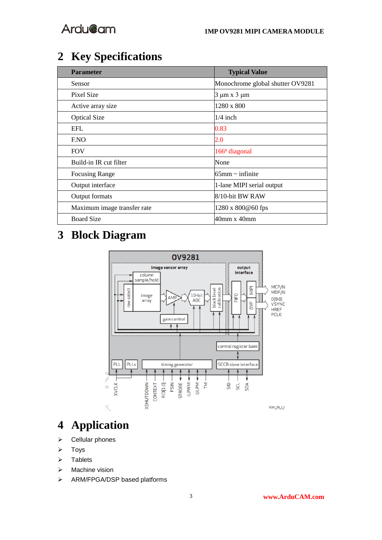# <span id="page-3-0"></span>**2 Key Specifications**

| <b>Parameter</b>            | <b>Typical Value</b>             |
|-----------------------------|----------------------------------|
| Sensor                      | Monochrome global shutter OV9281 |
| Pixel Size                  | $3 \mu m \times 3 \mu m$         |
| Active array size           | 1280 x 800                       |
| <b>Optical Size</b>         | $1/4$ inch                       |
| <b>EFL</b>                  | 0.83                             |
| ENO                         | 2.0                              |
| <b>FOV</b>                  | 166 <sup>°</sup> diagonal        |
| Build-in IR cut filter      | None                             |
| <b>Focusing Range</b>       | $165$ mm ~ infinite              |
| Output interface            | 1-lane MIPI serial output        |
| Output formats              | 8/10-bit BW RAW                  |
| Maximum image transfer rate | 1280 x 800@60 fps                |
| <b>Board Size</b>           | 40mm x 40mm                      |

# <span id="page-3-1"></span>**3 Block Diagram**



# <span id="page-3-2"></span>**4 Application**

- ➢ Cellular phones
- ➢ Toys
- ➢ Tablets
- ➢ Machine vision
- ➢ ARM/FPGA/DSP based platforms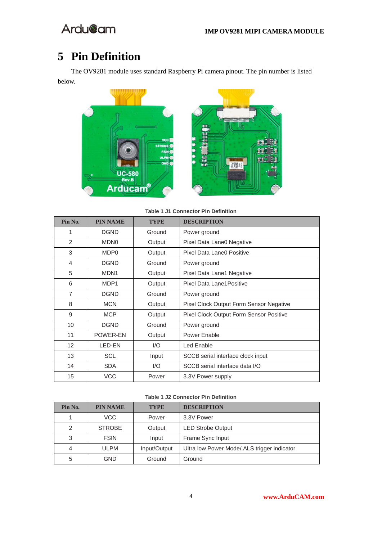# <span id="page-4-0"></span>**Pin Definition**

The OV9281 module uses standard Raspberry Pi camera pinout. The pin number is listed below.



**Table 1 J1 Connector Pin Definition**

| Pin No. | <b>PIN NAME</b>  | <b>TYPE</b> | <b>DESCRIPTION</b>                      |
|---------|------------------|-------------|-----------------------------------------|
| 1       | <b>DGND</b>      | Ground      | Power ground                            |
| 2       | <b>MDNO</b>      | Output      | Pixel Data Lane0 Negative               |
| 3       | MDP <sub>0</sub> | Output      | Pixel Data Lane0 Positive               |
| 4       | <b>DGND</b>      | Ground      | Power ground                            |
| 5       | MDN <sub>1</sub> | Output      | Pixel Data Lane1 Negative               |
| 6       | MDP1             | Output      | Pixel Data Lane1 Positive               |
| 7       | <b>DGND</b>      | Ground      | Power ground                            |
| 8       | <b>MCN</b>       | Output      | Pixel Clock Output Form Sensor Negative |
| 9       | <b>MCP</b>       | Output      | Pixel Clock Output Form Sensor Positive |
| 10      | <b>DGND</b>      | Ground      | Power ground                            |
| 11      | POWER-EN         | Output      | Power Enable                            |
| 12      | LED-EN           | 1/O         | Led Enable                              |
| 13      | <b>SCL</b>       | Input       | SCCB serial interface clock input       |
| 14      | <b>SDA</b>       | 1/O         | SCCB serial interface data I/O          |
| 15      | <b>VCC</b>       | Power       | 3.3V Power supply                       |

#### **Table 1 J2 Connector Pin Definition**

| Pin No. | <b>PIN NAME</b> | <b>TYPE</b>  | <b>DESCRIPTION</b>                          |
|---------|-----------------|--------------|---------------------------------------------|
|         | VCC             | Power        | 3.3V Power                                  |
| 2       | <b>STROBE</b>   | Output       | <b>LED Strobe Output</b>                    |
| 3       | <b>FSIN</b>     | Input        | Frame Sync Input                            |
| 4       | <b>ULPM</b>     | Input/Output | Ultra low Power Mode/ ALS trigger indicator |
| 5       | GND             | Ground       | Ground                                      |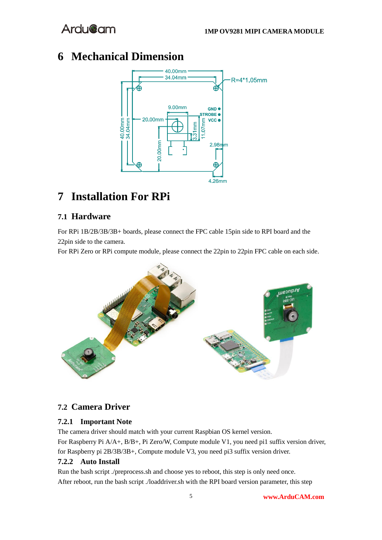## <span id="page-5-0"></span>**6 Mechanical Dimension**



## <span id="page-5-1"></span>**7 Installation For RPi**

## <span id="page-5-2"></span>**7.1 Hardware**

For RPi 1B/2B/3B/3B+ boards, please connect the FPC cable 15pin side to RPI board and the 22pin side to the camera.

For RPi Zero or RPi compute module, please connect the 22pin to 22pin FPC cable on each side.



## <span id="page-5-3"></span>**7.2 Camera Driver**

## <span id="page-5-4"></span>**7.2.1 Important Note**

The camera driver should match with your current Raspbian OS kernel version.

For Raspberry Pi A/A+, B/B+, Pi Zero/W, Compute module V1, you need pi1 suffix version driver, for Raspberry pi 2B/3B/3B+, Compute module V3, you need pi3 suffix version driver.

## <span id="page-5-5"></span>**7.2.2 Auto Install**

Run the bash script ./preprocess.sh and choose yes to reboot, this step is only need once. After reboot, run the bash script ./loaddriver.sh with the RPI board version parameter, this step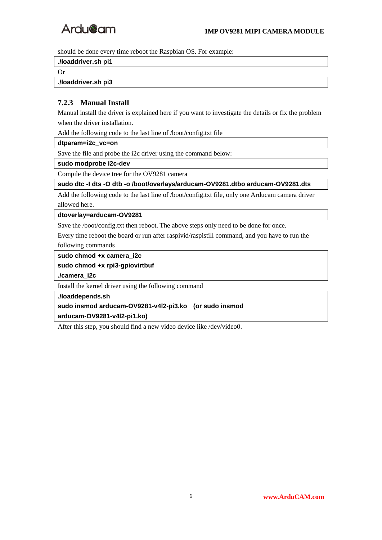

should be done every time reboot the Raspbian OS. For example:

**./loaddriver.sh pi1**

Or

**./loaddriver.sh pi3**

### <span id="page-6-0"></span>**7.2.3 Manual Install**

Manual install the driver is explained here if you want to investigate the details or fix the problem when the driver installation.

Add the following code to the last line of /boot/config.txt file

**dtparam=i2c\_vc=on**

Save the file and probe the i2c driver using the command below:

**sudo modprobe i2c-dev**

Compile the device tree for the OV9281 camera

**sudo dtc -I dts -O dtb -o /boot/overlays/arducam-OV9281.dtbo arducam-OV9281.dts**

Add the following code to the last line of /boot/config.txt file, only one Arducam camera driver allowed here.

### **dtoverlay=arducam-OV9281**

Save the /boot/config.txt then reboot. The above steps only need to be done for once.

Every time reboot the board or run after raspivid/raspistill command, and you have to run the following commands

**sudo chmod +x camera\_i2c**

**sudo chmod +x rpi3-gpiovirtbuf**

**./camera\_i2c**

Install the kernel driver using the following command

**./loaddepends.sh sudo insmod arducam-OV9281-v4l2-pi3.ko (or sudo insmod** 

**arducam-OV9281-v4l2-pi1.ko)**

After this step, you should find a new video device like /dev/video0.